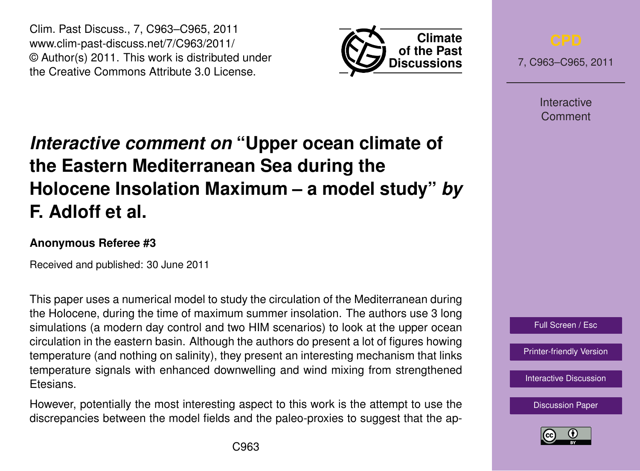Clim. Past Discuss., 7, C963–C965, 2011 www.clim-past-discuss.net/7/C963/2011/ © Author(s) 2011. This work is distributed under the Creative Commons Attribute 3.0 License.



7, C963–C965, 2011

**Interactive** Comment

## *Interactive comment on* **"Upper ocean climate of the Eastern Mediterranean Sea during the Holocene Insolation Maximum – a model study"** *by* **F. Adloff et al.**

## **Anonymous Referee #3**

Received and published: 30 June 2011

This paper uses a numerical model to study the circulation of the Mediterranean during the Holocene, during the time of maximum summer insolation. The authors use 3 long simulations (a modern day control and two HIM scenarios) to look at the upper ocean circulation in the eastern basin. Although the authors do present a lot of figures howing temperature (and nothing on salinity), they present an interesting mechanism that links temperature signals with enhanced downwelling and wind mixing from strengthened Etesians.

However, potentially the most interesting aspect to this work is the attempt to use the discrepancies between the model fields and the paleo-proxies to suggest that the ap-



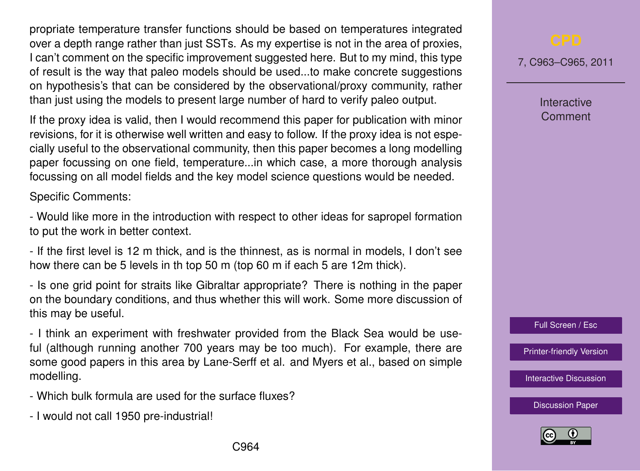propriate temperature transfer functions should be based on temperatures integrated over a depth range rather than just SSTs. As my expertise is not in the area of proxies, I can't comment on the specific improvement suggested here. But to my mind, this type of result is the way that paleo models should be used...to make concrete suggestions on hypothesis's that can be considered by the observational/proxy community, rather than just using the models to present large number of hard to verify paleo output.

If the proxy idea is valid, then I would recommend this paper for publication with minor revisions, for it is otherwise well written and easy to follow. If the proxy idea is not especially useful to the observational community, then this paper becomes a long modelling paper focussing on one field, temperature...in which case, a more thorough analysis focussing on all model fields and the key model science questions would be needed.

Specific Comments:

- Would like more in the introduction with respect to other ideas for sapropel formation to put the work in better context.

- If the first level is 12 m thick, and is the thinnest, as is normal in models, I don't see how there can be 5 levels in th top 50 m (top 60 m if each 5 are 12m thick).

- Is one grid point for straits like Gibraltar appropriate? There is nothing in the paper on the boundary conditions, and thus whether this will work. Some more discussion of this may be useful.

- I think an experiment with freshwater provided from the Black Sea would be useful (although running another 700 years may be too much). For example, there are some good papers in this area by Lane-Serff et al. and Myers et al., based on simple modelling.

- Which bulk formula are used for the surface fluxes?
- I would not call 1950 pre-industrial!

7, C963–C965, 2011

Interactive Comment

Full Screen / Esc

[Printer-friendly Version](http://www.clim-past-discuss.net/7/C963/2011/cpd-7-C963-2011-print.pdf)

[Interactive Discussion](http://www.clim-past-discuss.net/7/1457/2011/cpd-7-1457-2011-discussion.html)

[Discussion Paper](http://www.clim-past-discuss.net/7/1457/2011/cpd-7-1457-2011.pdf)